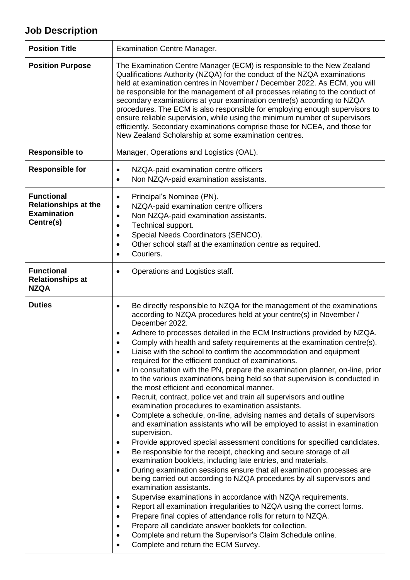## **Job Description**

| <b>Position Title</b>                                                               | <b>Examination Centre Manager.</b>                                                                                                                                                                                                                                                                                                                                                                                                                                                                                                                                                                                                                                                                                                                                                                                                                                                                                                                                                                                                                                                                                                                                                                                                                                                                                                                                                                                                                                                                                                                                                                                                                                                                                                                                                                                                                  |
|-------------------------------------------------------------------------------------|-----------------------------------------------------------------------------------------------------------------------------------------------------------------------------------------------------------------------------------------------------------------------------------------------------------------------------------------------------------------------------------------------------------------------------------------------------------------------------------------------------------------------------------------------------------------------------------------------------------------------------------------------------------------------------------------------------------------------------------------------------------------------------------------------------------------------------------------------------------------------------------------------------------------------------------------------------------------------------------------------------------------------------------------------------------------------------------------------------------------------------------------------------------------------------------------------------------------------------------------------------------------------------------------------------------------------------------------------------------------------------------------------------------------------------------------------------------------------------------------------------------------------------------------------------------------------------------------------------------------------------------------------------------------------------------------------------------------------------------------------------------------------------------------------------------------------------------------------------|
| <b>Position Purpose</b>                                                             | The Examination Centre Manager (ECM) is responsible to the New Zealand<br>Qualifications Authority (NZQA) for the conduct of the NZQA examinations<br>held at examination centres in November / December 2022. As ECM, you will<br>be responsible for the management of all processes relating to the conduct of<br>secondary examinations at your examination centre(s) according to NZQA<br>procedures. The ECM is also responsible for employing enough supervisors to<br>ensure reliable supervision, while using the minimum number of supervisors<br>efficiently. Secondary examinations comprise those for NCEA, and those for<br>New Zealand Scholarship at some examination centres.                                                                                                                                                                                                                                                                                                                                                                                                                                                                                                                                                                                                                                                                                                                                                                                                                                                                                                                                                                                                                                                                                                                                                       |
| <b>Responsible to</b>                                                               | Manager, Operations and Logistics (OAL).                                                                                                                                                                                                                                                                                                                                                                                                                                                                                                                                                                                                                                                                                                                                                                                                                                                                                                                                                                                                                                                                                                                                                                                                                                                                                                                                                                                                                                                                                                                                                                                                                                                                                                                                                                                                            |
| <b>Responsible for</b>                                                              | NZQA-paid examination centre officers<br>$\bullet$<br>Non NZQA-paid examination assistants.<br>$\bullet$                                                                                                                                                                                                                                                                                                                                                                                                                                                                                                                                                                                                                                                                                                                                                                                                                                                                                                                                                                                                                                                                                                                                                                                                                                                                                                                                                                                                                                                                                                                                                                                                                                                                                                                                            |
| <b>Functional</b><br><b>Relationships at the</b><br><b>Examination</b><br>Centre(s) | Principal's Nominee (PN).<br>$\bullet$<br>NZQA-paid examination centre officers<br>$\bullet$<br>Non NZQA-paid examination assistants.<br>$\bullet$<br>Technical support.<br>٠<br>Special Needs Coordinators (SENCO).<br>٠<br>Other school staff at the examination centre as required.<br>$\bullet$<br>Couriers.<br>$\bullet$                                                                                                                                                                                                                                                                                                                                                                                                                                                                                                                                                                                                                                                                                                                                                                                                                                                                                                                                                                                                                                                                                                                                                                                                                                                                                                                                                                                                                                                                                                                       |
| <b>Functional</b><br><b>Relationships at</b><br><b>NZQA</b>                         | Operations and Logistics staff.<br>٠                                                                                                                                                                                                                                                                                                                                                                                                                                                                                                                                                                                                                                                                                                                                                                                                                                                                                                                                                                                                                                                                                                                                                                                                                                                                                                                                                                                                                                                                                                                                                                                                                                                                                                                                                                                                                |
| <b>Duties</b>                                                                       | Be directly responsible to NZQA for the management of the examinations<br>$\bullet$<br>according to NZQA procedures held at your centre(s) in November /<br>December 2022.<br>Adhere to processes detailed in the ECM Instructions provided by NZQA.<br>٠<br>Comply with health and safety requirements at the examination centre(s).<br>٠<br>Liaise with the school to confirm the accommodation and equipment<br>required for the efficient conduct of examinations.<br>In consultation with the PN, prepare the examination planner, on-line, prior<br>$\bullet$<br>to the various examinations being held so that supervision is conducted in<br>the most efficient and economical manner.<br>Recruit, contract, police vet and train all supervisors and outline<br>$\bullet$<br>examination procedures to examination assistants.<br>Complete a schedule, on-line, advising names and details of supervisors<br>٠<br>and examination assistants who will be employed to assist in examination<br>supervision.<br>Provide approved special assessment conditions for specified candidates.<br>٠<br>Be responsible for the receipt, checking and secure storage of all<br>$\bullet$<br>examination booklets, including late entries, and materials.<br>During examination sessions ensure that all examination processes are<br>$\bullet$<br>being carried out according to NZQA procedures by all supervisors and<br>examination assistants.<br>Supervise examinations in accordance with NZQA requirements.<br>٠<br>Report all examination irregularities to NZQA using the correct forms.<br>٠<br>Prepare final copies of attendance rolls for return to NZQA.<br>٠<br>Prepare all candidate answer booklets for collection.<br>٠<br>Complete and return the Supervisor's Claim Schedule online.<br>٠<br>Complete and return the ECM Survey. |